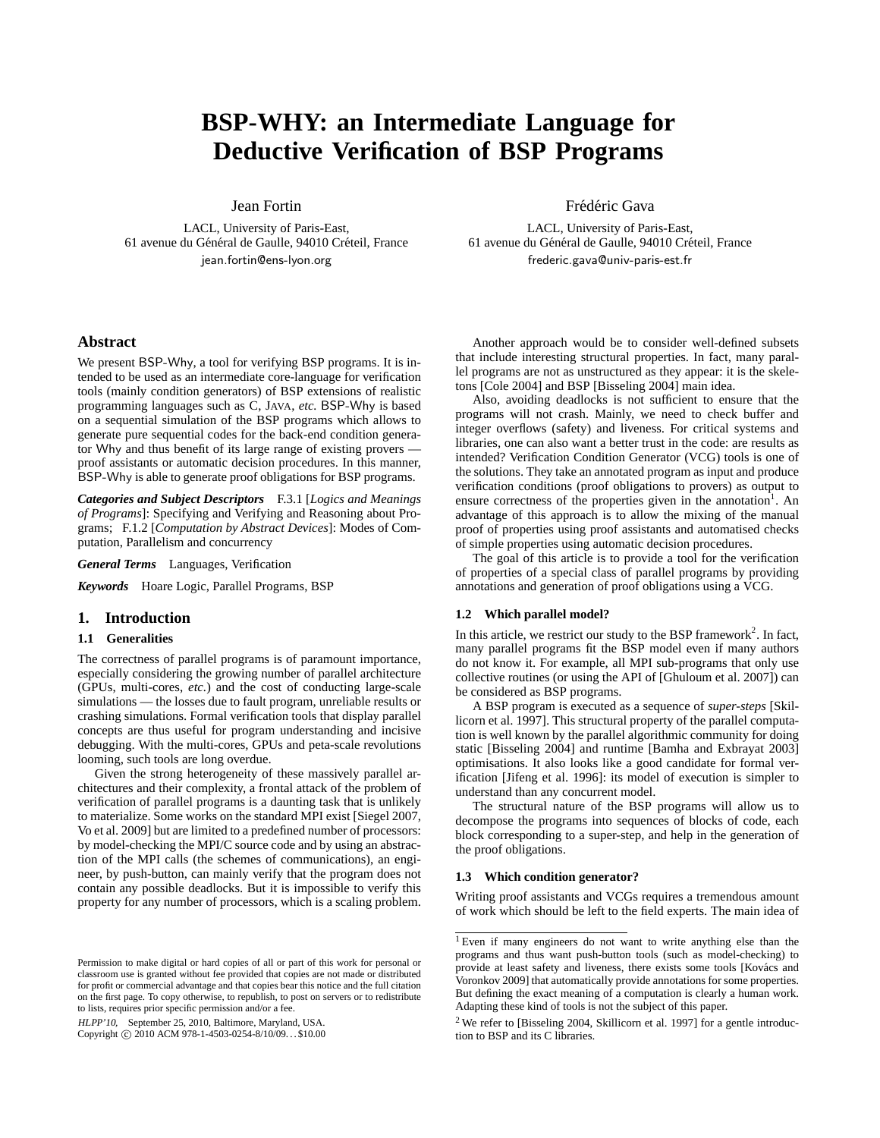# **BSP-WHY: an Intermediate Language for Deductive Verification of BSP Programs**

Jean Fortin

LACL, University of Paris-East, 61 avenue du Général de Gaulle, 94010 Créteil, France jean.fortin@ens-lyon.org

# **Abstract**

We present BSP-Why, a tool for verifying BSP programs. It is intended to be used as an intermediate core-language for verification tools (mainly condition generators) of BSP extensions of realistic programming languages such as C, JAVA, *etc.* BSP-Why is based on a sequential simulation of the BSP programs which allows to generate pure sequential codes for the back-end condition generator Why and thus benefit of its large range of existing provers proof assistants or automatic decision procedures. In this manner, BSP-Why is able to generate proof obligations for BSP programs.

*Categories and Subject Descriptors* F.3.1 [*Logics and Meanings of Programs*]: Specifying and Verifying and Reasoning about Programs; F.1.2 [*Computation by Abstract Devices*]: Modes of Computation, Parallelism and concurrency

*General Terms* Languages, Verification

*Keywords* Hoare Logic, Parallel Programs, BSP

# **1. Introduction**

# **1.1 Generalities**

The correctness of parallel programs is of paramount importance, especially considering the growing number of parallel architecture (GPUs, multi-cores, *etc.*) and the cost of conducting large-scale simulations — the losses due to fault program, unreliable results or crashing simulations. Formal verification tools that display parallel concepts are thus useful for program understanding and incisive debugging. With the multi-cores, GPUs and peta-scale revolutions looming, such tools are long overdue.

Given the strong heterogeneity of these massively parallel architectures and their complexity, a frontal attack of the problem of verification of parallel programs is a daunting task that is unlikely to materialize. Some works on the standard MPI exist [Siegel 2007, Vo et al. 2009] but are limited to a predefined number of processors: by model-checking the MPI/C source code and by using an abstraction of the MPI calls (the schemes of communications), an engineer, by push-button, can mainly verify that the program does not contain any possible deadlocks. But it is impossible to verify this property for any number of processors, which is a scaling problem.

HLPP'10, September 25, 2010, Baltimore, Maryland, USA.

Copyright © 2010 ACM 978-1-4503-0254-8/10/09... \$10.00

Frédéric Gava

LACL, University of Paris-East, 61 avenue du Général de Gaulle, 94010 Créteil, France frederic.gava@univ-paris-est.fr

Another approach would be to consider well-defined subsets that include interesting structural properties. In fact, many parallel programs are not as unstructured as they appear: it is the skeletons [Cole 2004] and BSP [Bisseling 2004] main idea.

Also, avoiding deadlocks is not sufficient to ensure that the programs will not crash. Mainly, we need to check buffer and integer overflows (safety) and liveness. For critical systems and libraries, one can also want a better trust in the code: are results as intended? Verification Condition Generator (VCG) tools is one of the solutions. They take an annotated program as input and produce verification conditions (proof obligations to provers) as output to ensure correctness of the properties given in the annotation<sup>1</sup>. An advantage of this approach is to allow the mixing of the manual proof of properties using proof assistants and automatised checks of simple properties using automatic decision procedures.

The goal of this article is to provide a tool for the verification of properties of a special class of parallel programs by providing annotations and generation of proof obligations using a VCG.

# **1.2 Which parallel model?**

In this article, we restrict our study to the BSP framework<sup>2</sup>. In fact, many parallel programs fit the BSP model even if many authors do not know it. For example, all MPI sub-programs that only use collective routines (or using the API of [Ghuloum et al. 2007]) can be considered as BSP programs.

A BSP program is executed as a sequence of *super-steps* [Skillicorn et al. 1997]. This structural property of the parallel computation is well known by the parallel algorithmic community for doing static [Bisseling 2004] and runtime [Bamha and Exbrayat 2003] optimisations. It also looks like a good candidate for formal verification [Jifeng et al. 1996]: its model of execution is simpler to understand than any concurrent model.

The structural nature of the BSP programs will allow us to decompose the programs into sequences of blocks of code, each block corresponding to a super-step, and help in the generation of the proof obligations.

# **1.3 Which condition generator?**

Writing proof assistants and VCGs requires a tremendous amount of work which should be left to the field experts. The main idea of

Permission to make digital or hard copies of all or part of this work for personal or classroom use is granted without fee provided that copies are not made or distributed for profit or commercial advantage and that copies bear this notice and the full citation on the first page. To copy otherwise, to republish, to post on servers or to redistribute to lists, requires prior specific permission and/or a fee.

<sup>1</sup> Even if many engineers do not want to write anything else than the programs and thus want push-button tools (such as model-checking) to provide at least safety and liveness, there exists some tools [Kovács and Voronkov 2009] that automatically provide annotations for some properties. But defining the exact meaning of a computation is clearly a human work. Adapting these kind of tools is not the subject of this paper.

 $2$  We refer to [Bisseling 2004, Skillicorn et al. 1997] for a gentle introduction to BSP and its C libraries.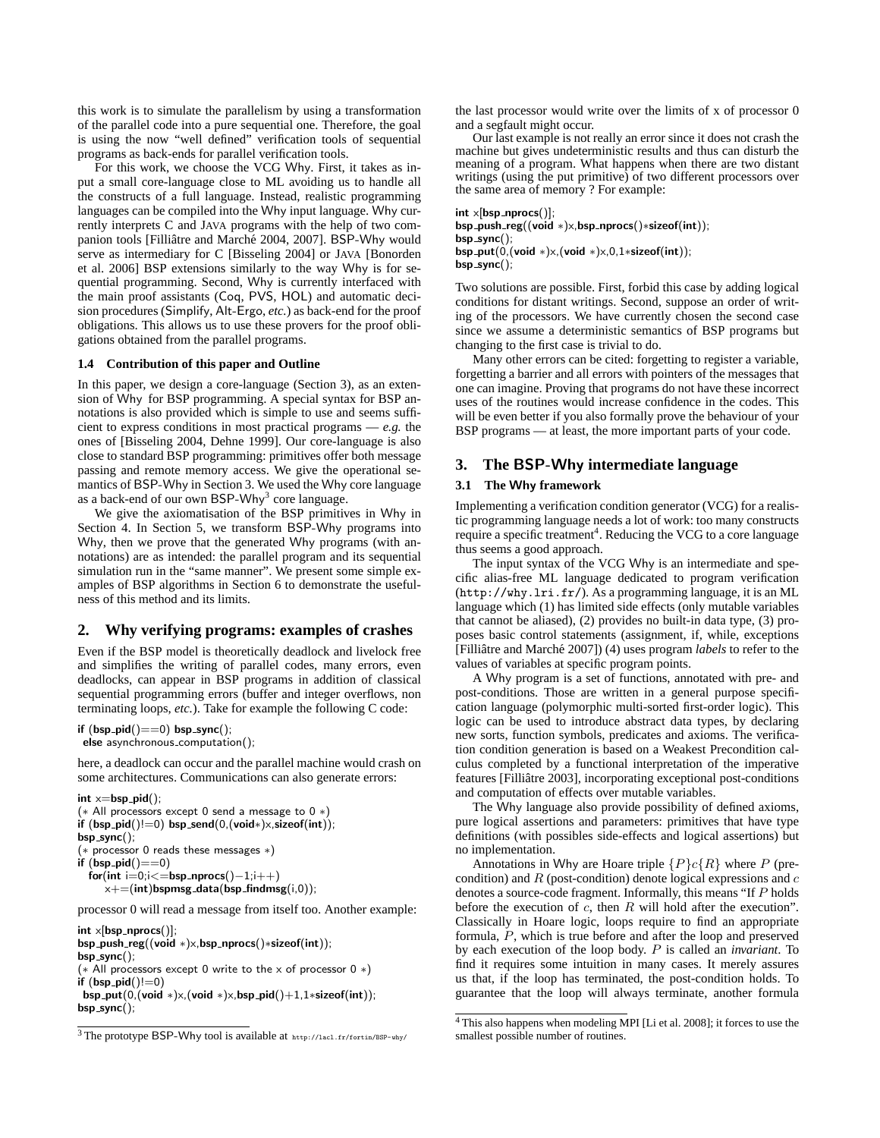this work is to simulate the parallelism by using a transformation of the parallel code into a pure sequential one. Therefore, the goal is using the now "well defined" verification tools of sequential programs as back-ends for parallel verification tools.

For this work, we choose the VCG Why. First, it takes as input a small core-language close to ML avoiding us to handle all the constructs of a full language. Instead, realistic programming languages can be compiled into the Why input language. Why currently interprets C and JAVA programs with the help of two companion tools [Filliâtre and Marché 2004, 2007]. BSP-Why would serve as intermediary for C [Bisseling 2004] or JAVA [Bonorden et al. 2006] BSP extensions similarly to the way Why is for sequential programming. Second, Why is currently interfaced with the main proof assistants (Coq, PVS, HOL) and automatic decision procedures (Simplify, Alt-Ergo, *etc.*) as back-end for the proof obligations. This allows us to use these provers for the proof obligations obtained from the parallel programs.

### **1.4 Contribution of this paper and Outline**

In this paper, we design a core-language (Section 3), as an extension of Why for BSP programming. A special syntax for BSP annotations is also provided which is simple to use and seems sufficient to express conditions in most practical programs — *e.g.* the ones of [Bisseling 2004, Dehne 1999]. Our core-language is also close to standard BSP programming: primitives offer both message passing and remote memory access. We give the operational semantics of BSP-Why in Section 3. We used the Why core language as a back-end of our own BSP-Why<sup>3</sup> core language.

We give the axiomatisation of the BSP primitives in Why in Section 4. In Section 5, we transform BSP-Why programs into Why, then we prove that the generated Why programs (with annotations) are as intended: the parallel program and its sequential simulation run in the "same manner". We present some simple examples of BSP algorithms in Section 6 to demonstrate the usefulness of this method and its limits.

# **2. Why verifying programs: examples of crashes**

Even if the BSP model is theoretically deadlock and livelock free and simplifies the writing of parallel codes, many errors, even deadlocks, can appear in BSP programs in addition of classical sequential programming errors (buffer and integer overflows, non terminating loops, *etc.*). Take for example the following C code:

if  $(bsp_pid() == 0) bsp_sync()$ ; else asynchronous\_computation();

here, a deadlock can occur and the parallel machine would crash on some architectures. Communications can also generate errors:

 $int x = bsp$   $pi(d)$ ; (∗ All processors except 0 send a message to 0 ∗) if  $(bsp$ -pid $()!=0)$  bsp-send $(0,(void*)\times, sizeof(int));$ bsp\_sync(); (∗ processor 0 reads these messages ∗) if  $(bsp$ -pid $() == 0)$  $for(int i=0; i<=bsp_n process() - 1; i++)$  $x+=(int)$ bspmsg\_data(bsp\_findmsg(i,0));

processor 0 will read a message from itself too. Another example:

 $int \times [bsp_nprocs()];$ bsp\_push\_reg((void ∗)x,bsp\_nprocs()\*sizeof(int));  $bsp_sync()$ ; ( $*$  All processors except 0 write to the x of processor 0  $*$ ) if  $(bsp\_pid()!=0)$ bsp\_put(0,(void \*)x,(void \*)x,bsp\_pid()+1,1\*sizeof(int));  $bsp_sync()$ ;

the last processor would write over the limits of x of processor 0 and a segfault might occur.

Our last example is not really an error since it does not crash the machine but gives undeterministic results and thus can disturb the meaning of a program. What happens when there are two distant writings (using the put primitive) of two different processors over the same area of memory ? For example:

 $int \times [bsp_nprocs()]:$ bsp\_push\_reg((void ∗) $\times$ ,bsp\_nprocs()\*sizeof(int));  $bsp_sync()$ ; bsp put(0,(void ∗)x,(void ∗)x,0,1∗sizeof(int));  $bsp_sync()$ ;

Two solutions are possible. First, forbid this case by adding logical conditions for distant writings. Second, suppose an order of writing of the processors. We have currently chosen the second case since we assume a deterministic semantics of BSP programs but changing to the first case is trivial to do.

Many other errors can be cited: forgetting to register a variable, forgetting a barrier and all errors with pointers of the messages that one can imagine. Proving that programs do not have these incorrect uses of the routines would increase confidence in the codes. This will be even better if you also formally prove the behaviour of your BSP programs — at least, the more important parts of your code.

# **3. The** BSP-Why **intermediate language**

### **3.1 The** Why **framework**

Implementing a verification condition generator (VCG) for a realistic programming language needs a lot of work: too many constructs require a specific treatment<sup>4</sup>. Reducing the VCG to a core language thus seems a good approach.

The input syntax of the VCG Why is an intermediate and specific alias-free ML language dedicated to program verification (http://why.lri.fr/). As a programming language, it is an ML language which (1) has limited side effects (only mutable variables that cannot be aliased), (2) provides no built-in data type, (3) proposes basic control statements (assignment, if, while, exceptions [Filliâtre and Marché 2007]) (4) uses program *labels* to refer to the values of variables at specific program points.

A Why program is a set of functions, annotated with pre- and post-conditions. Those are written in a general purpose specification language (polymorphic multi-sorted first-order logic). This logic can be used to introduce abstract data types, by declaring new sorts, function symbols, predicates and axioms. The verification condition generation is based on a Weakest Precondition calculus completed by a functional interpretation of the imperative features [Filliâtre 2003], incorporating exceptional post-conditions and computation of effects over mutable variables.

The Why language also provide possibility of defined axioms, pure logical assertions and parameters: primitives that have type definitions (with possibles side-effects and logical assertions) but no implementation.

Annotations in Why are Hoare triple  $\{P\}c\{R\}$  where P (precondition) and  $R$  (post-condition) denote logical expressions and  $c$ denotes a source-code fragment. Informally, this means "If P holds before the execution of  $c$ , then  $R$  will hold after the execution". Classically in Hoare logic, loops require to find an appropriate formula, P, which is true before and after the loop and preserved by each execution of the loop body. P is called an *invariant*. To find it requires some intuition in many cases. It merely assures us that, if the loop has terminated, the post-condition holds. To guarantee that the loop will always terminate, another formula

<sup>3</sup> The prototype BSP-Why tool is available at http://lacl.fr/fortin/BSP-why/

<sup>4</sup> This also happens when modeling MPI [Li et al. 2008]; it forces to use the smallest possible number of routines.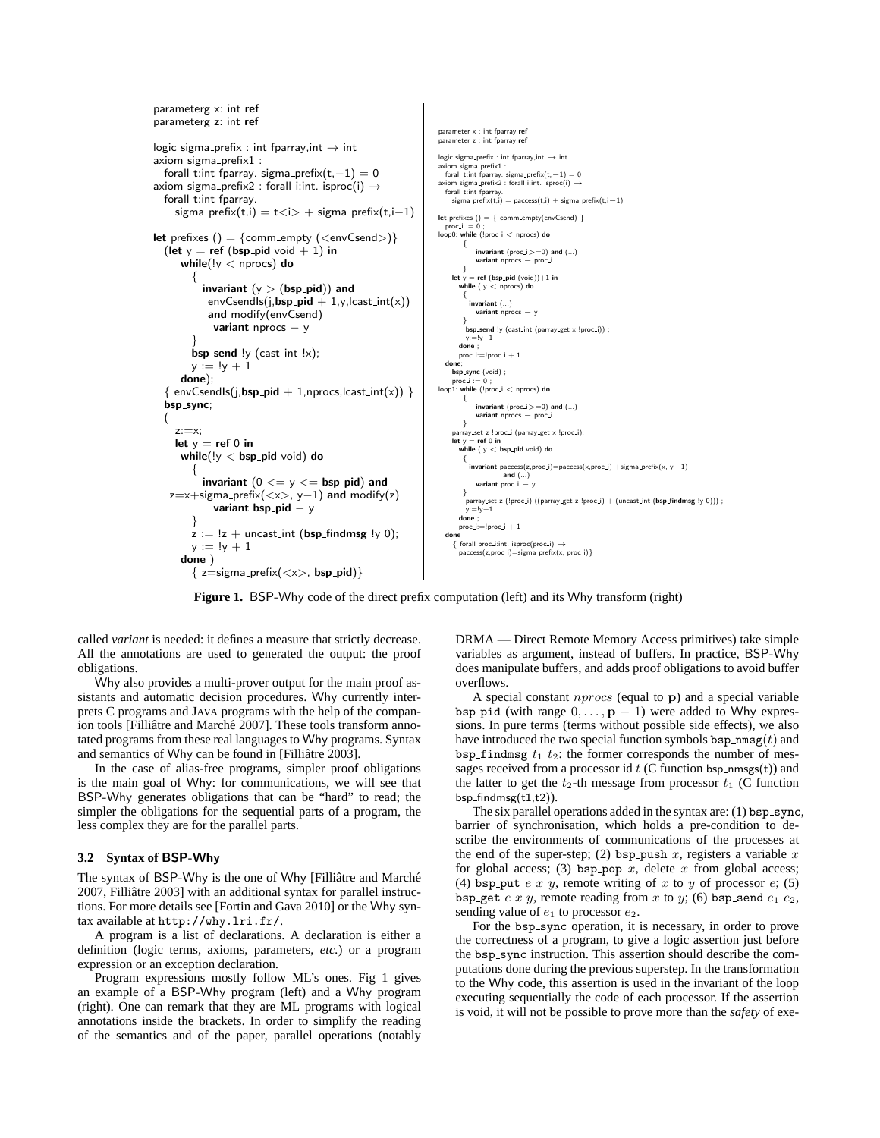

**Figure 1.** BSP-Why code of the direct prefix computation (left) and its Why transform (right)

called *variant* is needed: it defines a measure that strictly decrease. All the annotations are used to generated the output: the proof obligations.

Why also provides a multi-prover output for the main proof assistants and automatic decision procedures. Why currently interprets C programs and JAVA programs with the help of the companion tools [Filliâtre and Marché 2007]. These tools transform annotated programs from these real languages to Why programs. Syntax and semantics of Why can be found in [Filliatre 2003].

In the case of alias-free programs, simpler proof obligations is the main goal of Why: for communications, we will see that BSP-Why generates obligations that can be "hard" to read; the simpler the obligations for the sequential parts of a program, the less complex they are for the parallel parts.

### **3.2 Syntax of** BSP-Why

The syntax of BSP-Why is the one of Why [Filliâtre and Marché 2007, Filliâtre 2003] with an additional syntax for parallel instructions. For more details see [Fortin and Gava 2010] or the Why syntax available at http://why.lri.fr/.

A program is a list of declarations. A declaration is either a definition (logic terms, axioms, parameters, *etc.*) or a program expression or an exception declaration.

Program expressions mostly follow ML's ones. Fig 1 gives an example of a BSP-Why program (left) and a Why program (right). One can remark that they are ML programs with logical annotations inside the brackets. In order to simplify the reading of the semantics and of the paper, parallel operations (notably

DRMA — Direct Remote Memory Access primitives) take simple variables as argument, instead of buffers. In practice, BSP-Why does manipulate buffers, and adds proof obligations to avoid buffer overflows.

A special constant  $nprocs$  (equal to  $\bf{p}$ ) and a special variable bsp pid (with range  $0, \ldots, p - 1$ ) were added to Why expressions. In pure terms (terms without possible side effects), we also have introduced the two special function symbols  $bsp\_nmsg(t)$  and bsp findmsg  $t_1$   $t_2$ : the former corresponds the number of messages received from a processor id  $t$  (C function bsp nmsgs(t)) and the latter to get the  $t_2$ -th message from processor  $t_1$  (C function  $bsp_findmsg(t1,t2)).$ 

The six parallel operations added in the syntax are:  $(1)$  bsp\_sync, barrier of synchronisation, which holds a pre-condition to describe the environments of communications of the processes at the end of the super-step; (2) bsp\_push  $x$ , registers a variable  $x$ for global access; (3) bsp\_pop  $x$ , delete  $x$  from global access; (4) bsp put e x y, remote writing of x to y of processor  $e$ ; (5) bsp get  $e x y$ , remote reading from  $x$  to  $y$ ; (6) bsp send  $e_1 e_2$ , sending value of  $e_1$  to processor  $e_2$ .

For the bsp\_sync operation, it is necessary, in order to prove the correctness of a program, to give a logic assertion just before the bsp\_sync instruction. This assertion should describe the computations done during the previous superstep. In the transformation to the Why code, this assertion is used in the invariant of the loop executing sequentially the code of each processor. If the assertion is void, it will not be possible to prove more than the *safety* of exe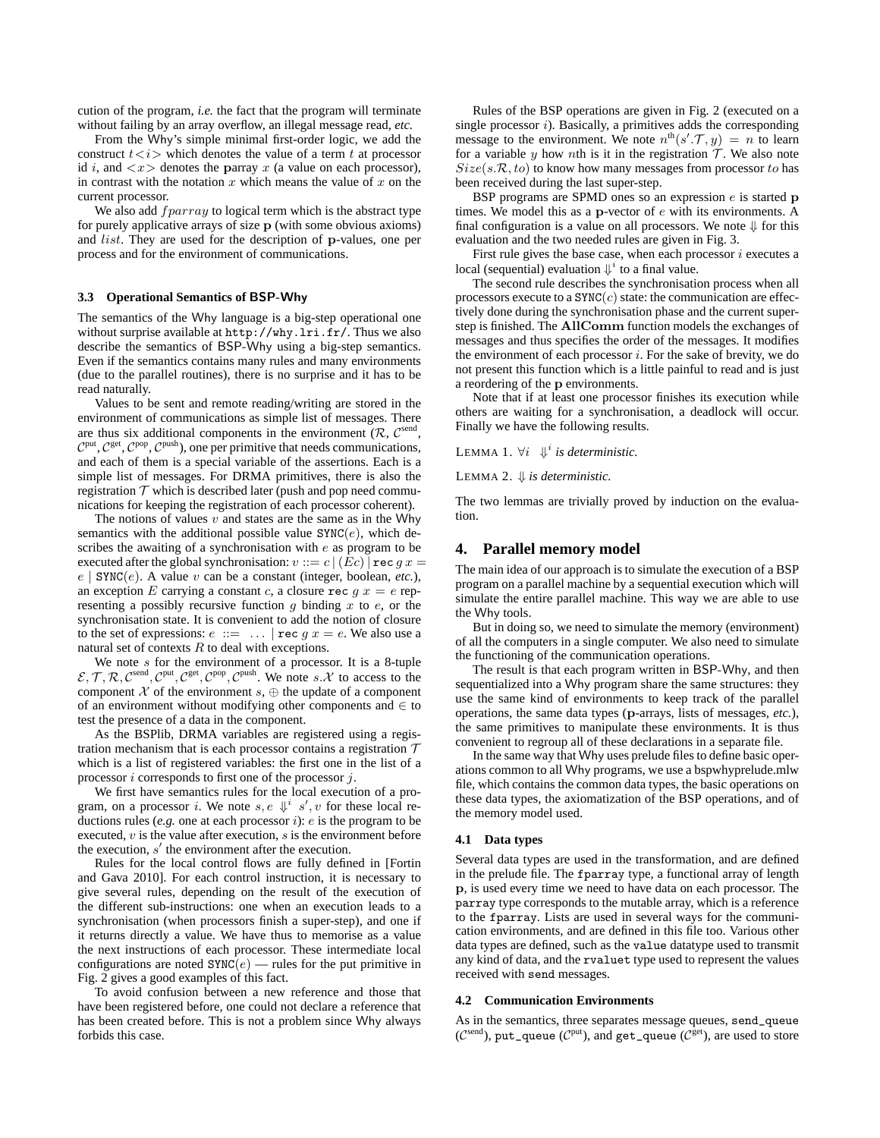cution of the program, *i.e.* the fact that the program will terminate without failing by an array overflow, an illegal message read, *etc.*

From the Why's simple minimal first-order logic, we add the construct  $t \lt i$  which denotes the value of a term t at processor id i, and  $\langle x \rangle$  denotes the parray x (a value on each processor), in contrast with the notation x which means the value of x on the current processor.

We also add  $fparray$  to logical term which is the abstract type for purely applicative arrays of size p (with some obvious axioms) and list. They are used for the description of p-values, one per process and for the environment of communications.

### **3.3 Operational Semantics of** BSP-Why

The semantics of the Why language is a big-step operational one without surprise available at http://why.lri.fr/. Thus we also describe the semantics of BSP-Why using a big-step semantics. Even if the semantics contains many rules and many environments (due to the parallel routines), there is no surprise and it has to be read naturally.

Values to be sent and remote reading/writing are stored in the environment of communications as simple list of messages. There are thus six additional components in the environment  $(R, \mathcal{C}^{\text{send}})$ ,  $C<sup>put</sup>, C<sup>get</sup>, C<sup>pop</sup>, C<sup>push</sup>$ ), one per primitive that needs communications, and each of them is a special variable of the assertions. Each is a simple list of messages. For DRMA primitives, there is also the registration  $T$  which is described later (push and pop need communications for keeping the registration of each processor coherent).

The notions of values  $v$  and states are the same as in the Why semantics with the additional possible value  $\text{SYNC}(e)$ , which describes the awaiting of a synchronisation with e as program to be executed after the global synchronisation:  $v ::= c | (Ec) |$  rec  $gx =$  $e \mid \text{SYNC}(e)$ . A value v can be a constant (integer, boolean, *etc.*), an exception E carrying a constant c, a closure rec  $g(x) = e$  representing a possibly recursive function  $g$  binding  $x$  to  $e$ , or the synchronisation state. It is convenient to add the notion of closure to the set of expressions:  $e ::= ... | \text{rec } g x = e$ . We also use a natural set of contexts  $R$  to deal with exceptions.

We note  $s$  for the environment of a processor. It is a 8-tuple  $\mathcal{E}, \mathcal{T}, \mathcal{R}, \mathcal{C}^{\text{sent}}, \mathcal{C}^{\text{put}}, \mathcal{C}^{\text{get}}, \mathcal{C}^{\text{pop}}, \mathcal{C}^{\text{push}}$ . We note s. X to access to the component  $X$  of the environment  $s$ ,  $\oplus$  the update of a component of an environment without modifying other components and  $\in$  to test the presence of a data in the component.

As the BSPlib, DRMA variables are registered using a registration mechanism that is each processor contains a registration  $T$ which is a list of registered variables: the first one in the list of a processor i corresponds to first one of the processor j.

We first have semantics rules for the local execution of a program, on a processor *i*. We note  $s, e \Downarrow^{i} s', v$  for these local reductions rules (*e.g.* one at each processor  $i$ ): *e* is the program to be executed,  $v$  is the value after execution,  $s$  is the environment before the execution, s ′ the environment after the execution.

Rules for the local control flows are fully defined in [Fortin and Gava 2010]. For each control instruction, it is necessary to give several rules, depending on the result of the execution of the different sub-instructions: one when an execution leads to a synchronisation (when processors finish a super-step), and one if it returns directly a value. We have thus to memorise as a value the next instructions of each processor. These intermediate local configurations are noted  $\text{SYNC}(e)$  — rules for the put primitive in Fig. 2 gives a good examples of this fact.

To avoid confusion between a new reference and those that have been registered before, one could not declare a reference that has been created before. This is not a problem since Why always forbids this case.

Rules of the BSP operations are given in Fig. 2 (executed on a single processor  $i$ ). Basically, a primitives adds the corresponding message to the environment. We note  $n^{th}(s',\mathcal{T},y) = n$  to learn for a variable y how nth is it in the registration  $\mathcal T$ . We also note  $Size(s.R, to)$  to know how many messages from processor to has been received during the last super-step.

BSP programs are SPMD ones so an expression  $e$  is started  $p$ times. We model this as a p-vector of e with its environments. A final configuration is a value on all processors. We note  $\Downarrow$  for this evaluation and the two needed rules are given in Fig. 3.

First rule gives the base case, when each processor  $i$  executes a local (sequential) evaluation  $\Downarrow$  to a final value.

The second rule describes the synchronisation process when all processors execute to a  $\text{SYNC}(c)$  state: the communication are effectively done during the synchronisation phase and the current superstep is finished. The AllComm function models the exchanges of messages and thus specifies the order of the messages. It modifies the environment of each processor  $i$ . For the sake of brevity, we do not present this function which is a little painful to read and is just a reordering of the p environments.

Note that if at least one processor finishes its execution while others are waiting for a synchronisation, a deadlock will occur. Finally we have the following results.

LEMMA 1.  $\forall i \; \Downarrow^i$  *is deterministic.* 

LEMMA 2. ⇓ *is deterministic.*

The two lemmas are trivially proved by induction on the evaluation.

# **4. Parallel memory model**

The main idea of our approach is to simulate the execution of a BSP program on a parallel machine by a sequential execution which will simulate the entire parallel machine. This way we are able to use the Why tools.

But in doing so, we need to simulate the memory (environment) of all the computers in a single computer. We also need to simulate the functioning of the communication operations.

The result is that each program written in BSP-Why, and then sequentialized into a Why program share the same structures: they use the same kind of environments to keep track of the parallel operations, the same data types (p-arrays, lists of messages, *etc.*), the same primitives to manipulate these environments. It is thus convenient to regroup all of these declarations in a separate file.

In the same way that Why uses prelude files to define basic operations common to all Why programs, we use a bspwhyprelude.mlw file, which contains the common data types, the basic operations on these data types, the axiomatization of the BSP operations, and of the memory model used.

# **4.1 Data types**

Several data types are used in the transformation, and are defined in the prelude file. The fparray type, a functional array of length p, is used every time we need to have data on each processor. The parray type corresponds to the mutable array, which is a reference to the fparray. Lists are used in several ways for the communication environments, and are defined in this file too. Various other data types are defined, such as the value datatype used to transmit any kind of data, and the rvaluet type used to represent the values received with send messages.

#### **4.2 Communication Environments**

As in the semantics, three separates message queues, send\_queue ( $\mathcal{C}^{\text{send}}$ ), put\_queue ( $\mathcal{C}^{\text{put}}$ ), and get\_queue ( $\mathcal{C}^{\text{get}}$ ), are used to store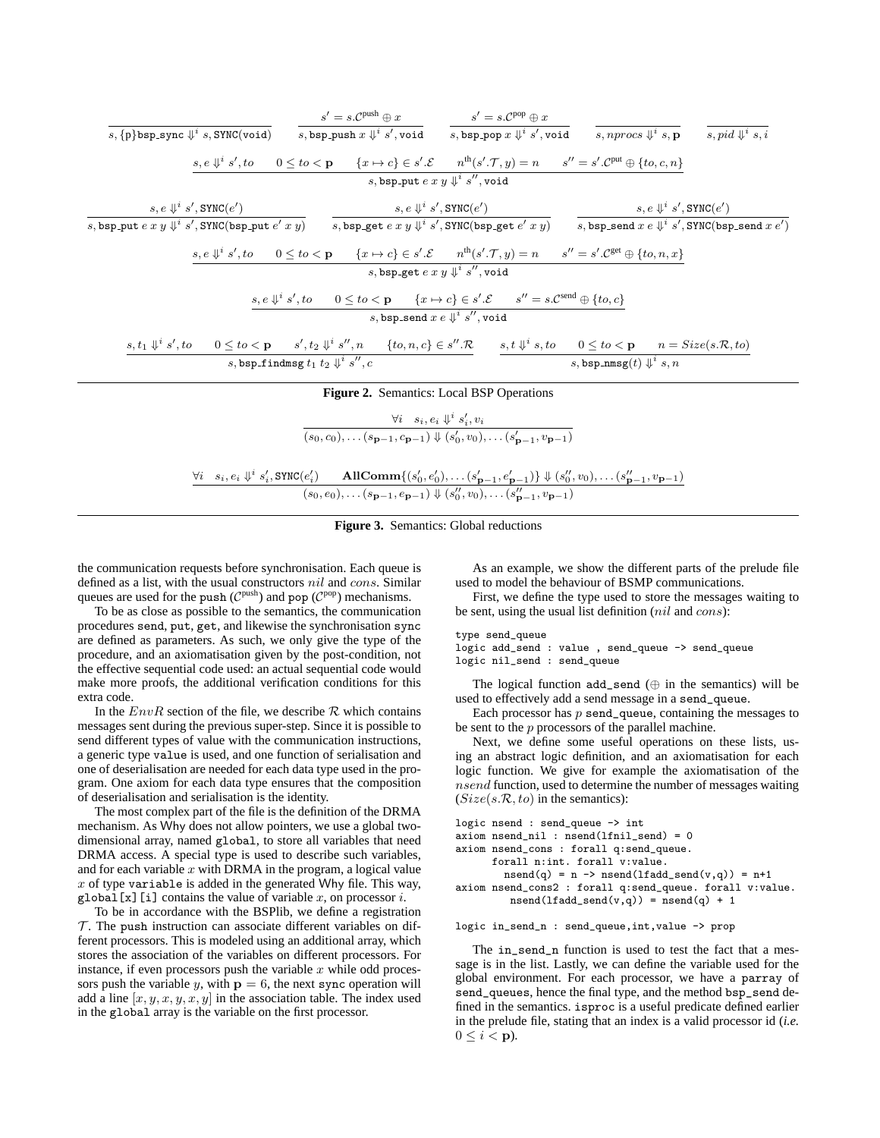|                                                                                                                                                                                                                                 | $s' = s \mathcal{C}^{\text{push}} \oplus x \qquad \qquad s' = s \mathcal{C}^{\text{pop}} \oplus x$                                                                                                    |                                                            |  |
|---------------------------------------------------------------------------------------------------------------------------------------------------------------------------------------------------------------------------------|-------------------------------------------------------------------------------------------------------------------------------------------------------------------------------------------------------|------------------------------------------------------------|--|
| $s, \{\mathtt{p}\}$ bsp_sync $\Downarrow^i s, \mathtt{SYNC}(\mathtt{void})$                                                                                                                                                     | s, bsp_push $x \Downarrow i s'$ , void s, bsp_pop $x \Downarrow i s'$ , void s, nprocs $\Downarrow i s$ , p s, pid $\Downarrow i s$ , i                                                               |                                                            |  |
|                                                                                                                                                                                                                                 | $s, e \Downarrow s', to \quad 0 \leq to < \mathbf{p} \quad \{x \mapsto c\} \in s'.\mathcal{E} \quad n^{\text{th}}(s'.\mathcal{T}, y) = n \quad s'' = s'.\mathcal{C}^{\text{put}} \oplus \{to, c, n\}$ |                                                            |  |
|                                                                                                                                                                                                                                 | s, bsp_put $e\mathrel{x} y \Downarrow^i s'',$ void                                                                                                                                                    |                                                            |  |
| $s, e \Downarrow^i s'$ , SYNC $(e')$<br>$s, e \Downarrow^i s'$ , SYNC $(e')$                                                                                                                                                    |                                                                                                                                                                                                       | $s, e \Downarrow^i s'$ , SYNC $(e')$                       |  |
| $s,$ bsp_put $e\mathrel{x} y \Downarrow^i s',$ SYNC(bsp_put $e'\mathrel{x} y)$                                                                                                                                                  | $s,$ bsp_get $e\ x \ y \Downarrow^i s',$ SYNC(bsp_get $e'\ x \ y)$                                                                                                                                    | s, bsp_send $x e \Downarrow i s'$ , SYNC(bsp_send $x e'$ ) |  |
|                                                                                                                                                                                                                                 | $s, e \Downarrow^{i} s', to$ $0 \leq to < \mathbf{p}$ $\{x \mapsto c\} \in s'.\mathcal{E}$ $n^{\text{th}}(s'.\mathcal{T}, y) = n$ $s'' = s'.\mathcal{C}^{\text{get}} \oplus \{to, n, x\}$             |                                                            |  |
|                                                                                                                                                                                                                                 | s, bsp_get $e x y \Downarrow i s''$ , void                                                                                                                                                            |                                                            |  |
|                                                                                                                                                                                                                                 | $s, e \Downarrow^{i} s', to \quad 0 \leq to < \mathbf{p} \quad \{x \mapsto c\} \in s'.\mathcal{E} \quad s'' = s.\mathcal{C}^{\text{send}} \oplus \{to, c\}$                                           |                                                            |  |
|                                                                                                                                                                                                                                 | s, bsp_send $x e \Downarrow i s''$ , void                                                                                                                                                             |                                                            |  |
| $s,t_1\Downarrow^{i}s', to \quad 0\leq to <\mathbf{p} \quad s',t_2\Downarrow^{i}s'', n \quad \  \{to,n,c\}\in s''.\mathcal{R} \quad \  \  s,t\Downarrow^{i}s, to \quad 0\leq to <\mathbf{p} \quad \  n=Size(s.\mathcal{R}, to)$ |                                                                                                                                                                                                       |                                                            |  |
| s, bsp_findmsg $t_1$ $t_2$ $\Downarrow$ $s'', c$                                                                                                                                                                                |                                                                                                                                                                                                       | s, bsp_nmsg(t) $\Downarrow$ <sup>i</sup> s, n              |  |
|                                                                                                                                                                                                                                 | <b>Figure 2.</b> Semantics: Local BSP Operations                                                                                                                                                      |                                                            |  |

 $\forall i \quad s_i, e_i \Downarrow^i s'_i, v_i$  $(s_0, c_0), \ldots (s_{p-1}, c_{p-1}) \Downarrow (s'_0, v_0), \ldots (s'_{p-1}, v_{p-1})$ 

 $\forall i \quad s_i, e_i \Downarrow^i s'_i, \text{SYNC}(e'_i) \qquad \text{AllComm}\{(s'_0, e'_0), \dots (s'_{p-1}, e'_{p-1})\} \Downarrow (s''_0, v_0), \dots (s''_{p-1}, v_{p-1})$  $(s_0, e_0), \ldots (s_{p-1}, e_{p-1}) \Downarrow (s''_0, v_0), \ldots (s''_{p-1}, v_{p-1})$ 

**Figure 3.** Semantics: Global reductions

the communication requests before synchronisation. Each queue is defined as a list, with the usual constructors nil and cons. Similar queues are used for the push  $(C^{push})$  and pop  $(C^{pop})$  mechanisms.

To be as close as possible to the semantics, the communication procedures send, put, get, and likewise the synchronisation sync are defined as parameters. As such, we only give the type of the procedure, and an axiomatisation given by the post-condition, not the effective sequential code used: an actual sequential code would make more proofs, the additional verification conditions for this extra code.

In the  $EnvR$  section of the file, we describe  $R$  which contains messages sent during the previous super-step. Since it is possible to send different types of value with the communication instructions, a generic type value is used, and one function of serialisation and one of deserialisation are needed for each data type used in the program. One axiom for each data type ensures that the composition of deserialisation and serialisation is the identity.

The most complex part of the file is the definition of the DRMA mechanism. As Why does not allow pointers, we use a global twodimensional array, named global, to store all variables that need DRMA access. A special type is used to describe such variables, and for each variable  $x$  with DRMA in the program, a logical value  $x$  of type variable is added in the generated Why file. This way, global $[x]$ [i] contains the value of variable x, on processor i.

To be in accordance with the BSPlib, we define a registration  $T$ . The push instruction can associate different variables on different processors. This is modeled using an additional array, which stores the association of the variables on different processors. For instance, if even processors push the variable  $x$  while odd processors push the variable y, with  $p = 6$ , the next sync operation will add a line  $[x, y, x, y, x, y]$  in the association table. The index used in the global array is the variable on the first processor.

As an example, we show the different parts of the prelude file used to model the behaviour of BSMP communications.

First, we define the type used to store the messages waiting to be sent, using the usual list definition (nil and cons):

#### type send\_queue

logic add\_send : value , send\_queue -> send\_queue logic nil\_send : send\_queue

The logical function  $add\_send$  ( $\oplus$  in the semantics) will be used to effectively add a send message in a send\_queue.

Each processor has  $p$  send\_queue, containing the messages to be sent to the  $p$  processors of the parallel machine.

Next, we define some useful operations on these lists, using an abstract logic definition, and an axiomatisation for each logic function. We give for example the axiomatisation of the nsend function, used to determine the number of messages waiting  $(Size(s.R, to)$  in the semantics):

```
logic nsend : send_queue -> int
axiom nsend_nil : nsend(lfnil_send) = 0
axiom nsend_cons : forall q:send_queue.
      forall n:int. forall v:value.
        nsend(q) = n \rightarrow nsend(lfadd_send(v,q)) = n+1axiom nsend_cons2 : forall q:send_queue. forall v:value.
         nsend(lfadd_send(v,q)) = nsend(q) + 1
```
logic in\_send\_n : send\_queue,int,value -> prop

The in\_send\_n function is used to test the fact that a message is in the list. Lastly, we can define the variable used for the global environment. For each processor, we have a parray of send\_queues, hence the final type, and the method bsp\_send defined in the semantics. isproc is a useful predicate defined earlier in the prelude file, stating that an index is a valid processor id (*i.e.*  $0 \leq i < \mathbf{p}$ ).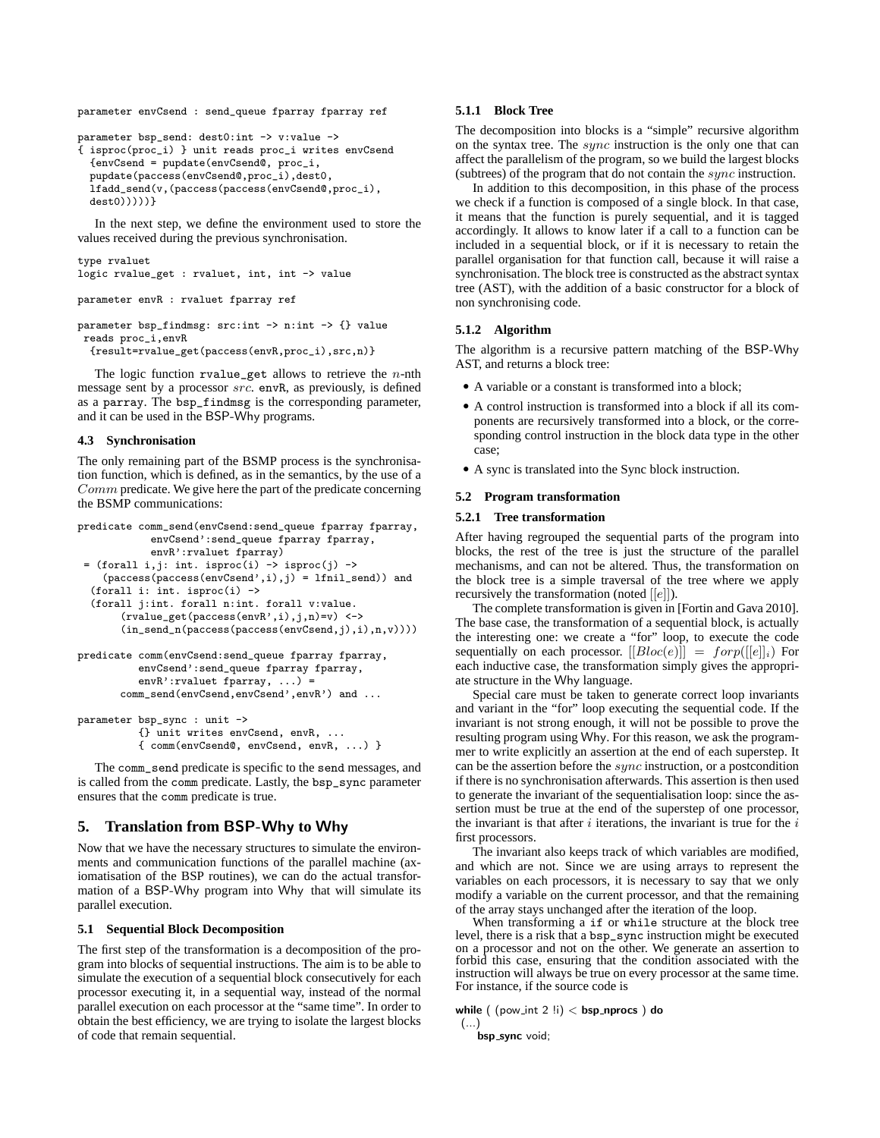parameter envCsend : send\_queue fparray fparray ref

```
parameter bsp_send: dest0:int -> v:value ->
{ isproc(proc_i) } unit reads proc_i writes envCsend
 {envCsend = pupdate(envCsend@, proc_i,
 pupdate(paccess(envCsend@,proc_i),dest0,
 lfadd_send(v,(paccess(paccess(envCsend@,proc_i),
 dest()))))}
```
In the next step, we define the environment used to store the values received during the previous synchronisation.

```
type rvaluet
logic rvalue_get : rvaluet, int, int -> value
parameter envR : rvaluet fparray ref
parameter bsp_findmsg: src:int -> n:int -> {} value
reads proc_i,envR
 {result=rvalue_get(paccess(envR,proc_i),src,n)}
```
The logic function rvalue\_get allows to retrieve the  $n$ -nth message sent by a processor src. envR, as previously, is defined as a parray. The bsp\_findmsg is the corresponding parameter, and it can be used in the BSP-Why programs.

### **4.3 Synchronisation**

The only remaining part of the BSMP process is the synchronisation function, which is defined, as in the semantics, by the use of a Comm predicate. We give here the part of the predicate concerning the BSMP communications:

```
predicate comm_send(envCsend:send_queue fparray fparray,
            envCsend':send_queue fparray fparray,
            envR':rvaluet fparray)
 = (forall i,j: int. isproc(i) \rightarrow isproc(j) \rightarrow(paccess(enccss(\text{envCsend}',i),j) = 1fnil_send)) and
  (forall i: int. isproc(i) ->
  (forall j:int. forall n:int. forall v:value.
       (rvalue_get(paccess(envR',i),j,n)=v) <->
       (in_send_n(paccess(paccess(envCsend,j),i),n,v))))
predicate comm(envCsend:send_queue fparray fparray,
          envCsend':send_queue fparray fparray,
```

```
envR':rvaluet fparray, ...) =
comm_send(envCsend,envCsend',envR') and ...
```

```
parameter bsp_sync : unit ->
          {} unit writes envCsend, envR, ...
          { comm(envCsend@, envCsend, envR, ...) }
```
The comm\_send predicate is specific to the send messages, and is called from the comm predicate. Lastly, the bsp\_sync parameter ensures that the comm predicate is true.

# **5. Translation from** BSP-Why **to** Why

Now that we have the necessary structures to simulate the environments and communication functions of the parallel machine (axiomatisation of the BSP routines), we can do the actual transformation of a BSP-Why program into Why that will simulate its parallel execution.

# **5.1 Sequential Block Decomposition**

The first step of the transformation is a decomposition of the program into blocks of sequential instructions. The aim is to be able to simulate the execution of a sequential block consecutively for each processor executing it, in a sequential way, instead of the normal parallel execution on each processor at the "same time". In order to obtain the best efficiency, we are trying to isolate the largest blocks of code that remain sequential.

# **5.1.1 Block Tree**

The decomposition into blocks is a "simple" recursive algorithm on the syntax tree. The sync instruction is the only one that can affect the parallelism of the program, so we build the largest blocks (subtrees) of the program that do not contain the  $sync$  instruction.

In addition to this decomposition, in this phase of the process we check if a function is composed of a single block. In that case, it means that the function is purely sequential, and it is tagged accordingly. It allows to know later if a call to a function can be included in a sequential block, or if it is necessary to retain the parallel organisation for that function call, because it will raise a synchronisation. The block tree is constructed as the abstract syntax tree (AST), with the addition of a basic constructor for a block of non synchronising code.

# **5.1.2 Algorithm**

The algorithm is a recursive pattern matching of the BSP-Why AST, and returns a block tree:

- A variable or a constant is transformed into a block;
- A control instruction is transformed into a block if all its components are recursively transformed into a block, or the corresponding control instruction in the block data type in the other case;
- A sync is translated into the Sync block instruction.

#### **5.2 Program transformation**

#### **5.2.1 Tree transformation**

After having regrouped the sequential parts of the program into blocks, the rest of the tree is just the structure of the parallel mechanisms, and can not be altered. Thus, the transformation on the block tree is a simple traversal of the tree where we apply recursively the transformation (noted [[e]]).

The complete transformation is given in [Fortin and Gava 2010]. The base case, the transformation of a sequential block, is actually the interesting one: we create a "for" loop, to execute the code sequentially on each processor.  $[[Bloc(e)]] = forp([[e]]_i)$  For each inductive case, the transformation simply gives the appropriate structure in the Why language.

Special care must be taken to generate correct loop invariants and variant in the "for" loop executing the sequential code. If the invariant is not strong enough, it will not be possible to prove the resulting program using Why. For this reason, we ask the programmer to write explicitly an assertion at the end of each superstep. It can be the assertion before the sync instruction, or a postcondition if there is no synchronisation afterwards. This assertion is then used to generate the invariant of the sequentialisation loop: since the assertion must be true at the end of the superstep of one processor, the invariant is that after  $i$  iterations, the invariant is true for the  $i$ first processors.

The invariant also keeps track of which variables are modified, and which are not. Since we are using arrays to represent the variables on each processors, it is necessary to say that we only modify a variable on the current processor, and that the remaining of the array stays unchanged after the iteration of the loop.

When transforming a if or while structure at the block tree level, there is a risk that a bsp\_sync instruction might be executed on a processor and not on the other. We generate an assertion to forbid this case, ensuring that the condition associated with the instruction will always be true on every processor at the same time. For instance, if the source code is

while  $($   $(pow.int 2 !i) <$   $bsp.nprocs$   $)$  do (...)

bsp\_sync void;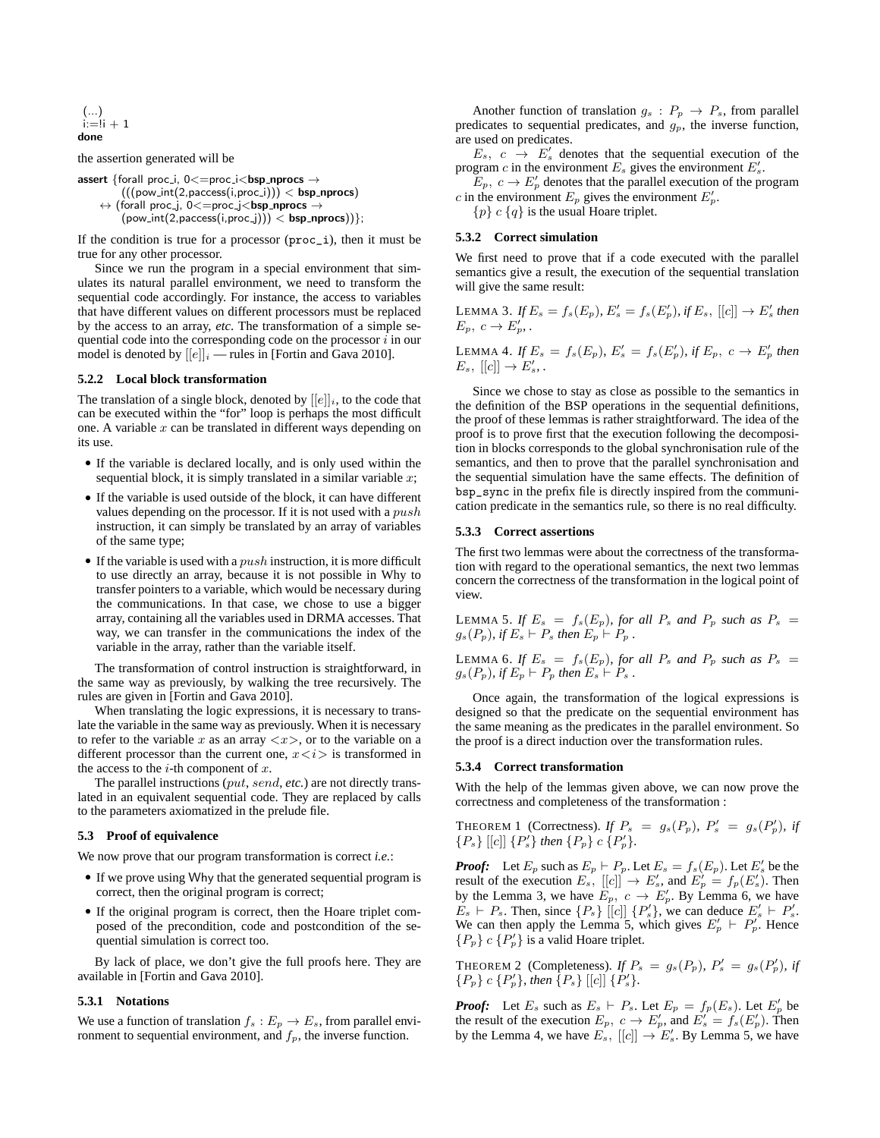$$
\begin{array}{c}(...)\\ \text{i:=} \text{i} + 1\\ \text{done}\end{array}
$$

the assertion generated will be

assert {forall proc\_i,  $0 \leq p$ roc\_i $\leq$ bsp\_nprocs  $\rightarrow$  $(((pow\_int(2,paces(i,proc\_i))) < **bsp**_{n}$ **procs**)  $\leftrightarrow$  (forall proc\_j, 0<=proc\_j<br/>**bsp\_nprocs**  $\rightarrow$  $(pow.int(2,paces(i,proc_j))) < **bsp.nprocs**$ ) ;

If the condition is true for a processor  $(\text{proc}_i)$ , then it must be true for any other processor.

Since we run the program in a special environment that simulates its natural parallel environment, we need to transform the sequential code accordingly. For instance, the access to variables that have different values on different processors must be replaced by the access to an array, *etc*. The transformation of a simple sequential code into the corresponding code on the processor  $i$  in our model is denoted by  $[[e]]_i$  — rules in [Fortin and Gava 2010].

### **5.2.2 Local block transformation**

The translation of a single block, denoted by  $[[e]]_i$ , to the code that can be executed within the "for" loop is perhaps the most difficult one. A variable  $x$  can be translated in different ways depending on its use.

- If the variable is declared locally, and is only used within the sequential block, it is simply translated in a similar variable  $x$ ;
- If the variable is used outside of the block, it can have different values depending on the processor. If it is not used with a push instruction, it can simply be translated by an array of variables of the same type;
- If the variable is used with a  $push$  instruction, it is more difficult to use directly an array, because it is not possible in Why to transfer pointers to a variable, which would be necessary during the communications. In that case, we chose to use a bigger array, containing all the variables used in DRMA accesses. That way, we can transfer in the communications the index of the variable in the array, rather than the variable itself.

The transformation of control instruction is straightforward, in the same way as previously, by walking the tree recursively. The rules are given in [Fortin and Gava 2010].

When translating the logic expressions, it is necessary to translate the variable in the same way as previously. When it is necessary to refer to the variable x as an array  $\langle x \rangle$ , or to the variable on a different processor than the current one,  $x \lt i$  is transformed in the access to the *i*-th component of  $x$ .

The parallel instructions (put, send, *etc.*) are not directly translated in an equivalent sequential code. They are replaced by calls to the parameters axiomatized in the prelude file.

### **5.3 Proof of equivalence**

We now prove that our program transformation is correct *i.e.*:

- If we prove using Why that the generated sequential program is correct, then the original program is correct;
- If the original program is correct, then the Hoare triplet composed of the precondition, code and postcondition of the sequential simulation is correct too.

By lack of place, we don't give the full proofs here. They are available in [Fortin and Gava 2010].

### **5.3.1 Notations**

We use a function of translation  $f_s : E_p \to E_s$ , from parallel environment to sequential environment, and  $f_p$ , the inverse function.

Another function of translation  $g_s$ :  $P_p \rightarrow P_s$ , from parallel predicates to sequential predicates, and  $g_p$ , the inverse function, are used on predicates.

 $E_s$ ,  $c \rightarrow E'_s$  denotes that the sequential execution of the program c in the environment  $E_s$  gives the environment  $E'_s$ .

 $E_p, c \rightarrow E'_p$  denotes that the parallel execution of the program c in the environment  $E_p$  gives the environment  $E'_p$ .

 ${p} c {q}$  is the usual Hoare triplet.

# **5.3.2 Correct simulation**

We first need to prove that if a code executed with the parallel semantics give a result, the execution of the sequential translation will give the same result:

LEMMA 3. If  $E_s = f_s(E_p)$ ,  $E'_s = f_s(E'_p)$ , if  $E_s$ , [[c]]  $\rightarrow E'_s$  then  $E_p, c \rightarrow E'_p.$ 

LEMMA 4. If  $E_s = f_s(E_p)$ ,  $E'_s = f_s(E'_p)$ , if  $E_p$ ,  $c \to E'_p$  then  $E_s$ ,  $[[c]] \rightarrow E'_s$ .

Since we chose to stay as close as possible to the semantics in the definition of the BSP operations in the sequential definitions, the proof of these lemmas is rather straightforward. The idea of the proof is to prove first that the execution following the decomposition in blocks corresponds to the global synchronisation rule of the semantics, and then to prove that the parallel synchronisation and the sequential simulation have the same effects. The definition of bsp\_sync in the prefix file is directly inspired from the communication predicate in the semantics rule, so there is no real difficulty.

#### **5.3.3 Correct assertions**

The first two lemmas were about the correctness of the transformation with regard to the operational semantics, the next two lemmas concern the correctness of the transformation in the logical point of view.

LEMMA 5. If  $E_s = f_s(E_p)$ , for all  $P_s$  and  $P_p$  such as  $P_s =$  $g_s(P_p)$ *, if*  $E_s \vdash P_s$  *then*  $E_p \vdash P_p$ *.* 

LEMMA 6. If  $E_s = f_s(E_p)$ , for all  $P_s$  and  $P_p$  such as  $P_s =$  $g_s(P_p)$ *, if*  $E_p \vdash P_p$  *then*  $E_s \vdash P_s$ *.* 

Once again, the transformation of the logical expressions is designed so that the predicate on the sequential environment has the same meaning as the predicates in the parallel environment. So the proof is a direct induction over the transformation rules.

### **5.3.4 Correct transformation**

With the help of the lemmas given above, we can now prove the correctness and completeness of the transformation :

THEOREM 1 (Correctness). If 
$$
P_s = g_s(P_p)
$$
,  $P'_s = g_s(P'_p)$ , if  $\{P_s\} [[c]] \{P'_s\}$  then  $\{P_p\} c \{P'_p\}$ .

*Proof:* Let  $E_p$  such as  $E_p \vdash P_p$ . Let  $E_s = f_s(E_p)$ . Let  $E'_s$  be the result of the execution  $E_s$ ,  $[[c]] \rightarrow E'_s$ , and  $E'_p = f_p(E'_s)$ . Then by the Lemma 3, we have  $E_p$ ,  $c \rightarrow E'_p$ . By Lemma 6, we have  $E_s \vdash P_s$ . Then, since  $\{P_s\}$  [[c]]  $\{P'_s\}$ , we can deduce  $E'_s \vdash P'_s$ . We can then apply the Lemma 5, which gives  $E'_p + P'_p$ . Hence  ${P_p} c {P'_p}$  is a valid Hoare triplet.

THEOREM 2 (Completeness). *If*  $P_s = g_s(P_p)$ ,  $P'_s = g_s(P'_p)$ , *if*  ${P_p} c {P'_p}$ *, then*  ${P_s}$  [[c]]  ${P'_s}$ *.* 

*Proof:* Let  $E_s$  such as  $E_s \vdash P_s$ . Let  $E_p = f_p(E_s)$ . Let  $E'_p$  be the result of the execution  $E_p$ ,  $c \to E'_p$ , and  $E'_s = f_s(E'_p)$ . Then by the Lemma 4, we have  $E_s$ ,  $[[c]] \rightarrow E_s$ . By Lemma 5, we have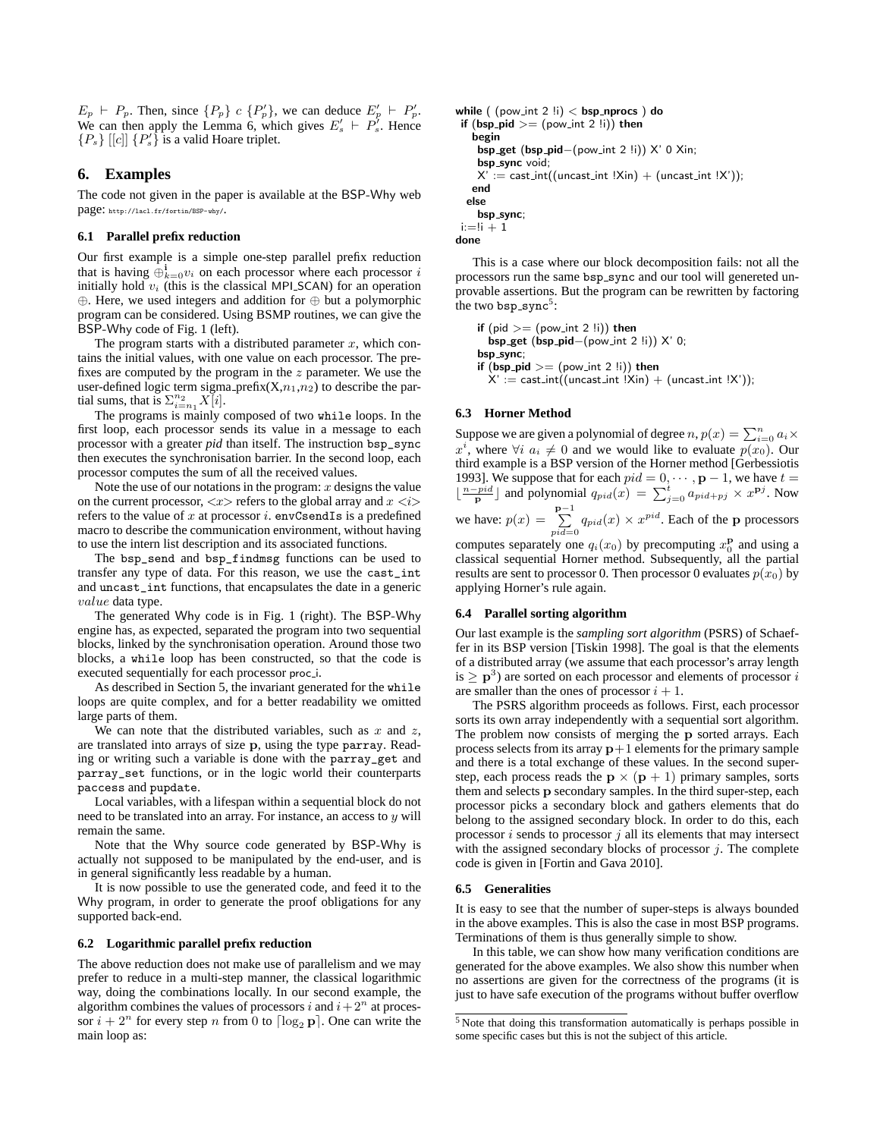$E_p \vdash P_p$ . Then, since  $\{P_p\}$  c  $\{P'_p\}$ , we can deduce  $E'_p \vdash P'_p$ . We can then apply the Lemma 6, which gives  $E'_s + P'_s$ . Hence  ${P_s}$  [[c]]  ${P'_s}$  is a valid Hoare triplet.

# **6. Examples**

The code not given in the paper is available at the BSP-Why web page: http://lacl.fr/fortin/BSP-why/.

### **6.1 Parallel prefix reduction**

Our first example is a simple one-step parallel prefix reduction that is having  $\oplus_{k=0}^i v_i$  on each processor where each processor i initially hold  $v_i$  (this is the classical MPI\_SCAN) for an operation ⊕. Here, we used integers and addition for ⊕ but a polymorphic program can be considered. Using BSMP routines, we can give the BSP-Why code of Fig. 1 (left).

The program starts with a distributed parameter  $x$ , which contains the initial values, with one value on each processor. The prefixes are computed by the program in the  $z$  parameter. We use the user-defined logic term sigma prefix( $X, n_1, n_2$ ) to describe the partial sums, that is  $\sum_{i=n_1}^{n_2} X[i]$ .

The programs is mainly composed of two while loops. In the first loop, each processor sends its value in a message to each processor with a greater *pid* than itself. The instruction bsp\_sync then executes the synchronisation barrier. In the second loop, each processor computes the sum of all the received values.

Note the use of our notations in the program:  $x$  designs the value on the current processor,  $\langle x \rangle$  refers to the global array and  $x \langle i \rangle$ refers to the value of x at processor i. envCsendIs is a predefined macro to describe the communication environment, without having to use the intern list description and its associated functions.

The bsp\_send and bsp\_findmsg functions can be used to transfer any type of data. For this reason, we use the cast\_int and uncast\_int functions, that encapsulates the date in a generic value data type.

The generated Why code is in Fig. 1 (right). The BSP-Why engine has, as expected, separated the program into two sequential blocks, linked by the synchronisation operation. Around those two blocks, a while loop has been constructed, so that the code is executed sequentially for each processor proc i.

As described in Section 5, the invariant generated for the while loops are quite complex, and for a better readability we omitted large parts of them.

We can note that the distributed variables, such as  $x$  and  $z$ , are translated into arrays of size p, using the type parray. Reading or writing such a variable is done with the parray\_get and parray\_set functions, or in the logic world their counterparts paccess and pupdate.

Local variables, with a lifespan within a sequential block do not need to be translated into an array. For instance, an access to  $y$  will remain the same.

Note that the Why source code generated by BSP-Why is actually not supposed to be manipulated by the end-user, and is in general significantly less readable by a human.

It is now possible to use the generated code, and feed it to the Why program, in order to generate the proof obligations for any supported back-end.

### **6.2 Logarithmic parallel prefix reduction**

The above reduction does not make use of parallelism and we may prefer to reduce in a multi-step manner, the classical logarithmic way, doing the combinations locally. In our second example, the algorithm combines the values of processors i and  $i + 2^n$  at processor  $i + 2^n$  for every step n from 0 to  $\lceil \log_2 p \rceil$ . One can write the main loop as:

```
while ( (pow_int 2 !i) < bsp_nprocs ) do
 if (bsp\_pid >= (pow\_int 2 !i)) then
    begin
     bsp get (bsp pid−(pow int 2 !i)) X' 0 Xin;
     bsp_sync void;
     X' := \text{cast.int}((\text{uncast.int } !\text{Xin}) + (\text{uncast.int } !\text{X'}));end
  else
     bsp_sync;
 i:=!i + 1done
```
This is a case where our block decomposition fails: not all the processors run the same bsp\_sync and our tool will genereted unprovable assertions. But the program can be rewritten by factoring the two  $bsp_sync^5$ :

if  $(pid >= (pow\_int 2 !i))$  then bsp get (bsp pid−(pow int 2 !i)) X' 0; bsp\_sync; if  $(bsp$ -pid  $>=(pow\_int 2 !i))$  then  $X' := \text{cast\_int}((\text{uncast\_int} \cdot (X \cdot n) + (\text{uncast\_int} \cdot (X')));$ 

# **6.3 Horner Method**

Suppose we are given a polynomial of degree  $n, p(x) = \sum_{i=0}^{n} a_i \times$  $x^i$ , where  $\forall i$   $a_i \neq 0$  and we would like to evaluate  $p(x_0)$ . Our third example is a BSP version of the Horner method [Gerbessiotis 1993]. We suppose that for each  $pid = 0, \dots, p - 1$ , we have  $t =$  $\lfloor \frac{n-pid}{p} \rfloor$  and polynomial  $q_{pid}(x) = \sum_{j=0}^{t} a_{pid+pj} \times x^{pj}$ . Now we have:  $p(x) = \sum_{pid=0}^{p-1} q_{pid}(x) \times x^{pid}$ . Each of the p processors

computes separately one  $q_i(x_0)$  by precomputing  $x_0^{\mathbf{p}}$  and using a classical sequential Horner method. Subsequently, all the partial results are sent to processor 0. Then processor 0 evaluates  $p(x_0)$  by applying Horner's rule again.

# **6.4 Parallel sorting algorithm**

Our last example is the *sampling sort algorithm* (PSRS) of Schaeffer in its BSP version [Tiskin 1998]. The goal is that the elements of a distributed array (we assume that each processor's array length is  $\geq$  p<sup>3</sup>) are sorted on each processor and elements of processor i are smaller than the ones of processor  $i + 1$ .

The PSRS algorithm proceeds as follows. First, each processor sorts its own array independently with a sequential sort algorithm. The problem now consists of merging the p sorted arrays. Each process selects from its array  $p+1$  elements for the primary sample and there is a total exchange of these values. In the second superstep, each process reads the  $p \times (p + 1)$  primary samples, sorts them and selects p secondary samples. In the third super-step, each processor picks a secondary block and gathers elements that do belong to the assigned secondary block. In order to do this, each processor  $i$  sends to processor  $j$  all its elements that may intersect with the assigned secondary blocks of processor  $j$ . The complete code is given in [Fortin and Gava 2010].

### **6.5 Generalities**

It is easy to see that the number of super-steps is always bounded in the above examples. This is also the case in most BSP programs. Terminations of them is thus generally simple to show.

In this table, we can show how many verification conditions are generated for the above examples. We also show this number when no assertions are given for the correctness of the programs (it is just to have safe execution of the programs without buffer overflow

<sup>5</sup> Note that doing this transformation automatically is perhaps possible in some specific cases but this is not the subject of this article.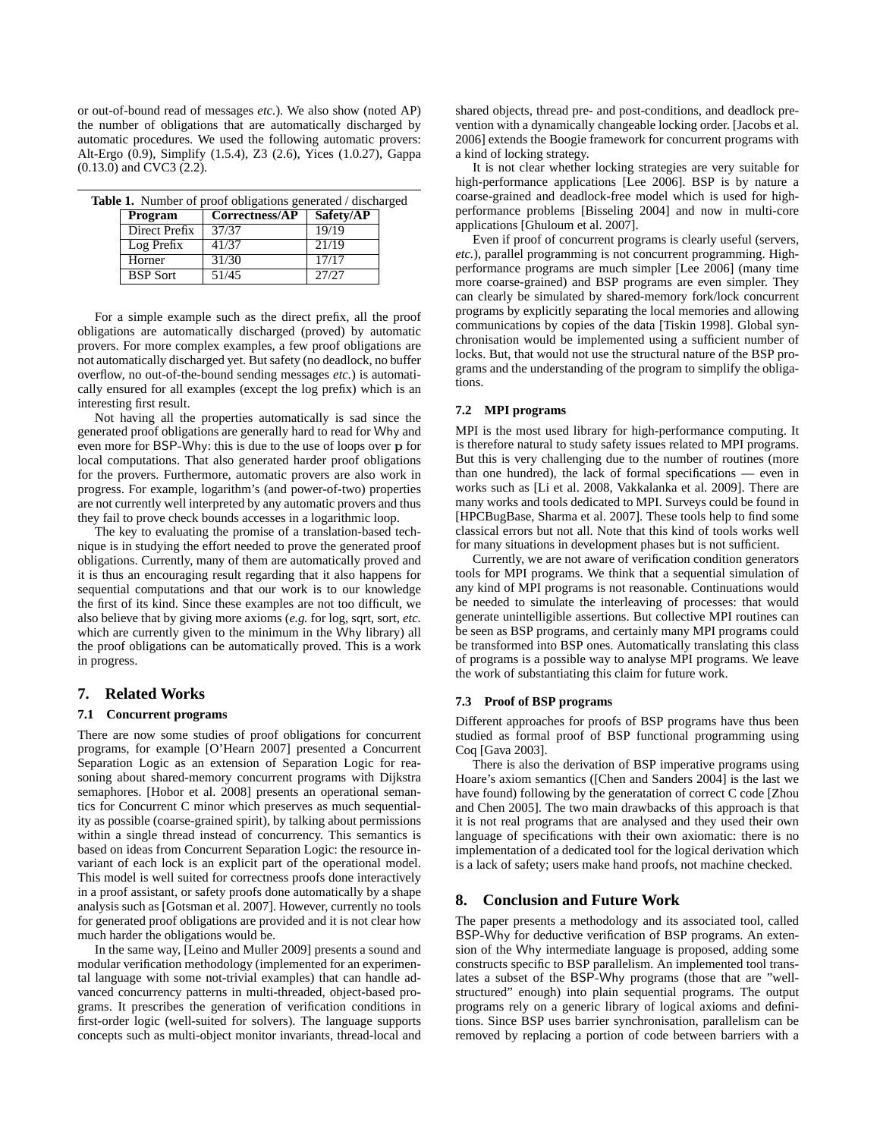or out-of-bound read of messages *etc.*). We also show (noted AP) the number of obligations that are automatically discharged by automatic procedures. We used the following automatic provers: Alt-Ergo (0.9), Simplify (1.5.4), Z3 (2.6), Yices (1.0.27), Gappa (0.13.0) and CVC3 (2.2).

|                 | <b>Table 1.</b> Number of proof obligations generated / discharged |           |  |
|-----------------|--------------------------------------------------------------------|-----------|--|
| Program         | Correctness/AP                                                     | Safety/AP |  |
| Direct Prefix   | 37/37                                                              | 19/19     |  |
| Log Prefix      | 41/37                                                              | 21/19     |  |
| Horner          | 31/30                                                              | 17/17     |  |
| <b>BSP</b> Sort | 51/45                                                              | 27/27     |  |

For a simple example such as the direct prefix, all the proof obligations are automatically discharged (proved) by automatic provers. For more complex examples, a few proof obligations are not automatically discharged yet. But safety (no deadlock, no buffer overflow, no out-of-the-bound sending messages *etc.*) is automatically ensured for all examples (except the log prefix) which is an interesting first result.

Not having all the properties automatically is sad since the generated proof obligations are generally hard to read for Why and even more for BSP-Why: this is due to the use of loops over p for local computations. That also generated harder proof obligations for the provers. Furthermore, automatic provers are also work in progress. For example, logarithm's (and power-of-two) properties are not currently well interpreted by any automatic provers and thus they fail to prove check bounds accesses in a logarithmic loop.

The key to evaluating the promise of a translation-based technique is in studying the effort needed to prove the generated proof obligations. Currently, many of them are automatically proved and it is thus an encouraging result regarding that it also happens for sequential computations and that our work is to our knowledge the first of its kind. Since these examples are not too difficult, we also believe that by giving more axioms (*e.g.* for log, sqrt, sort, *etc.* which are currently given to the minimum in the Why library) all the proof obligations can be automatically proved. This is a work in progress.

# **7. Related Works**

### **7.1 Concurrent programs**

There are now some studies of proof obligations for concurrent programs, for example [O'Hearn 2007] presented a Concurrent Separation Logic as an extension of Separation Logic for reasoning about shared-memory concurrent programs with Dijkstra semaphores. [Hobor et al. 2008] presents an operational semantics for Concurrent C minor which preserves as much sequentiality as possible (coarse-grained spirit), by talking about permissions within a single thread instead of concurrency. This semantics is based on ideas from Concurrent Separation Logic: the resource invariant of each lock is an explicit part of the operational model. This model is well suited for correctness proofs done interactively in a proof assistant, or safety proofs done automatically by a shape analysis such as [Gotsman et al. 2007]. However, currently no tools for generated proof obligations are provided and it is not clear how much harder the obligations would be.

In the same way, [Leino and Muller 2009] presents a sound and modular verification methodology (implemented for an experimental language with some not-trivial examples) that can handle advanced concurrency patterns in multi-threaded, object-based programs. It prescribes the generation of verification conditions in first-order logic (well-suited for solvers). The language supports concepts such as multi-object monitor invariants, thread-local and shared objects, thread pre- and post-conditions, and deadlock prevention with a dynamically changeable locking order. [Jacobs et al. 2006] extends the Boogie framework for concurrent programs with a kind of locking strategy.

It is not clear whether locking strategies are very suitable for high-performance applications [Lee 2006]. BSP is by nature a coarse-grained and deadlock-free model which is used for highperformance problems [Bisseling 2004] and now in multi-core applications [Ghuloum et al. 2007].

Even if proof of concurrent programs is clearly useful (servers, *etc.*), parallel programming is not concurrent programming. Highperformance programs are much simpler [Lee 2006] (many time more coarse-grained) and BSP programs are even simpler. They can clearly be simulated by shared-memory fork/lock concurrent programs by explicitly separating the local memories and allowing communications by copies of the data [Tiskin 1998]. Global synchronisation would be implemented using a sufficient number of locks. But, that would not use the structural nature of the BSP programs and the understanding of the program to simplify the obligations.

# **7.2 MPI programs**

MPI is the most used library for high-performance computing. It is therefore natural to study safety issues related to MPI programs. But this is very challenging due to the number of routines (more than one hundred), the lack of formal specifications — even in works such as [Li et al. 2008, Vakkalanka et al. 2009]. There are many works and tools dedicated to MPI. Surveys could be found in [HPCBugBase, Sharma et al. 2007]. These tools help to find some classical errors but not all. Note that this kind of tools works well for many situations in development phases but is not sufficient.

Currently, we are not aware of verification condition generators tools for MPI programs. We think that a sequential simulation of any kind of MPI programs is not reasonable. Continuations would be needed to simulate the interleaving of processes: that would generate unintelligible assertions. But collective MPI routines can be seen as BSP programs, and certainly many MPI programs could be transformed into BSP ones. Automatically translating this class of programs is a possible way to analyse MPI programs. We leave the work of substantiating this claim for future work.

# **7.3 Proof of BSP programs**

Different approaches for proofs of BSP programs have thus been studied as formal proof of BSP functional programming using Coq [Gava 2003].

There is also the derivation of BSP imperative programs using Hoare's axiom semantics ([Chen and Sanders 2004] is the last we have found) following by the generatation of correct C code [Zhou and Chen 2005]. The two main drawbacks of this approach is that it is not real programs that are analysed and they used their own language of specifications with their own axiomatic: there is no implementation of a dedicated tool for the logical derivation which is a lack of safety; users make hand proofs, not machine checked.

# **8. Conclusion and Future Work**

The paper presents a methodology and its associated tool, called BSP-Why for deductive verification of BSP programs. An extension of the Why intermediate language is proposed, adding some constructs specific to BSP parallelism. An implemented tool translates a subset of the BSP-Why programs (those that are "wellstructured" enough) into plain sequential programs. The output programs rely on a generic library of logical axioms and definitions. Since BSP uses barrier synchronisation, parallelism can be removed by replacing a portion of code between barriers with a